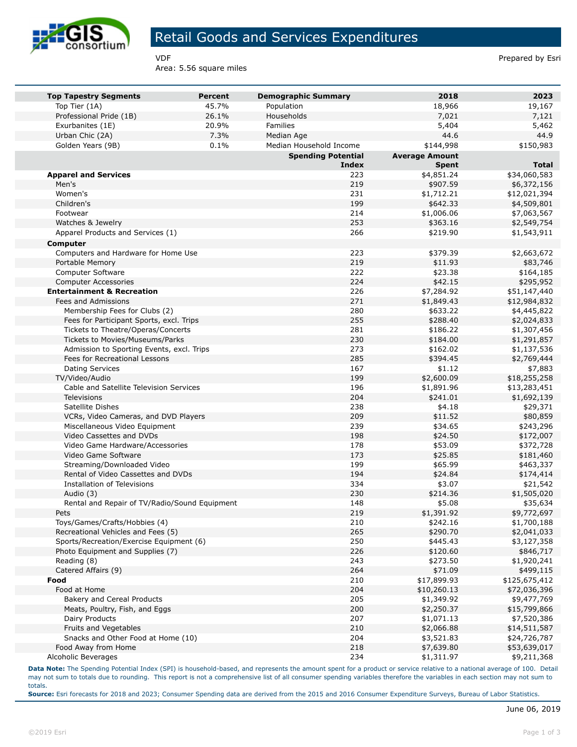

## Retail Goods and Services Expenditures

Area: 5.56 square miles

VDF **Prepared by Esri** 

| <b>Top Tapestry Segments</b>                                          | Percent | <b>Demographic Summary</b> | 2018                   | 2023                       |
|-----------------------------------------------------------------------|---------|----------------------------|------------------------|----------------------------|
| Top Tier (1A)                                                         | 45.7%   | Population                 | 18,966                 | 19,167                     |
| Professional Pride (1B)                                               | 26.1%   | Households                 | 7,021                  | 7,121                      |
| Exurbanites (1E)                                                      | 20.9%   | Families                   | 5,404                  | 5,462                      |
| Urban Chic (2A)                                                       | 7.3%    | Median Age                 | 44.6                   | 44.9                       |
| Golden Years (9B)                                                     | 0.1%    | Median Household Income    | \$144,998              | \$150,983                  |
|                                                                       |         | <b>Spending Potential</b>  | <b>Average Amount</b>  |                            |
|                                                                       |         | <b>Index</b>               | <b>Spent</b>           | <b>Total</b>               |
| <b>Apparel and Services</b>                                           |         | 223                        | \$4,851.24             | \$34,060,583               |
| Men's                                                                 |         | 219                        | \$907.59               | \$6,372,156                |
| Women's                                                               |         | 231                        | \$1,712.21             | \$12,021,394               |
| Children's<br>Footwear                                                |         | 199<br>214                 | \$642.33               | \$4,509,801                |
| Watches & Jewelry                                                     |         | 253                        | \$1,006.06<br>\$363.16 | \$7,063,567<br>\$2,549,754 |
|                                                                       |         | 266                        | \$219.90               |                            |
| Apparel Products and Services (1)                                     |         |                            |                        | \$1,543,911                |
| Computer                                                              |         |                            |                        |                            |
| Computers and Hardware for Home Use                                   |         | 223                        | \$379.39               | \$2,663,672                |
| Portable Memory                                                       |         | 219                        | \$11.93                | \$83,746                   |
| Computer Software                                                     |         | 222                        | \$23.38                | \$164,185                  |
| <b>Computer Accessories</b>                                           |         | 224                        | \$42.15                | \$295,952                  |
| <b>Entertainment &amp; Recreation</b>                                 |         | 226<br>271                 | \$7,284.92             | \$51,147,440               |
| Fees and Admissions<br>Membership Fees for Clubs (2)                  |         | 280                        | \$1,849.43<br>\$633.22 | \$12,984,832               |
|                                                                       |         | 255                        | \$288.40               | \$4,445,822                |
| Fees for Participant Sports, excl. Trips                              |         | 281                        |                        | \$2,024,833                |
| Tickets to Theatre/Operas/Concerts<br>Tickets to Movies/Museums/Parks |         | 230                        | \$186.22<br>\$184.00   | \$1,307,456                |
| Admission to Sporting Events, excl. Trips                             |         | 273                        | \$162.02               | \$1,291,857<br>\$1,137,536 |
| Fees for Recreational Lessons                                         |         | 285                        | \$394.45               | \$2,769,444                |
| <b>Dating Services</b>                                                |         | 167                        | \$1.12                 | \$7,883                    |
| TV/Video/Audio                                                        |         | 199                        | \$2,600.09             | \$18,255,258               |
| Cable and Satellite Television Services                               |         | 196                        | \$1,891.96             | \$13,283,451               |
| Televisions                                                           |         | 204                        | \$241.01               | \$1,692,139                |
| Satellite Dishes                                                      |         | 238                        | \$4.18                 | \$29,371                   |
| VCRs, Video Cameras, and DVD Players                                  |         | 209                        | \$11.52                | \$80,859                   |
| Miscellaneous Video Equipment                                         |         | 239                        | \$34.65                | \$243,296                  |
| Video Cassettes and DVDs                                              |         | 198                        | \$24.50                | \$172,007                  |
| Video Game Hardware/Accessories                                       |         | 178                        | \$53.09                | \$372,728                  |
| Video Game Software                                                   |         | 173                        | \$25.85                | \$181,460                  |
| Streaming/Downloaded Video                                            |         | 199                        | \$65.99                | \$463,337                  |
| Rental of Video Cassettes and DVDs                                    |         | 194                        | \$24.84                | \$174,414                  |
| Installation of Televisions                                           |         | 334                        | \$3.07                 | \$21,542                   |
| Audio (3)                                                             |         | 230                        | \$214.36               | \$1,505,020                |
| Rental and Repair of TV/Radio/Sound Equipment                         |         | 148                        | \$5.08                 | \$35,634                   |
| Pets                                                                  |         | 219                        | \$1,391.92             | \$9,772,697                |
| Toys/Games/Crafts/Hobbies (4)                                         |         | 210                        | \$242.16               | \$1,700,188                |
| Recreational Vehicles and Fees (5)                                    |         | 265                        | \$290.70               | \$2,041,033                |
| Sports/Recreation/Exercise Equipment (6)                              |         | 250                        | \$445.43               | \$3,127,358                |
| Photo Equipment and Supplies (7)                                      |         | 226                        | \$120.60               | \$846,717                  |
| Reading (8)                                                           |         | 243                        | \$273.50               | \$1,920,241                |
| Catered Affairs (9)                                                   |         | 264                        | \$71.09                | \$499,115                  |
| Food                                                                  |         | 210                        | \$17,899.93            | \$125,675,412              |
| Food at Home                                                          |         | 204                        | \$10,260.13            | \$72,036,396               |
| Bakery and Cereal Products                                            |         | 205                        | \$1,349.92             | \$9,477,769                |
| Meats, Poultry, Fish, and Eggs                                        |         | 200                        | \$2,250.37             | \$15,799,866               |
| Dairy Products                                                        |         | 207                        | \$1,071.13             | \$7,520,386                |
| Fruits and Vegetables                                                 |         | 210                        | \$2,066.88             | \$14,511,587               |
| Snacks and Other Food at Home (10)                                    |         | 204                        | \$3,521.83             | \$24,726,787               |
| Food Away from Home                                                   |         | 218                        | \$7,639.80             | \$53,639,017               |
| Alcoholic Beverages                                                   |         | 234                        | \$1,311.97             | \$9,211,368                |

**Data Note:** The Spending Potential Index (SPI) is household-based, and represents the amount spent for a product or service relative to a national average of 100. Detail may not sum to totals due to rounding. This report is not a comprehensive list of all consumer spending variables therefore the variables in each section may not sum to totals.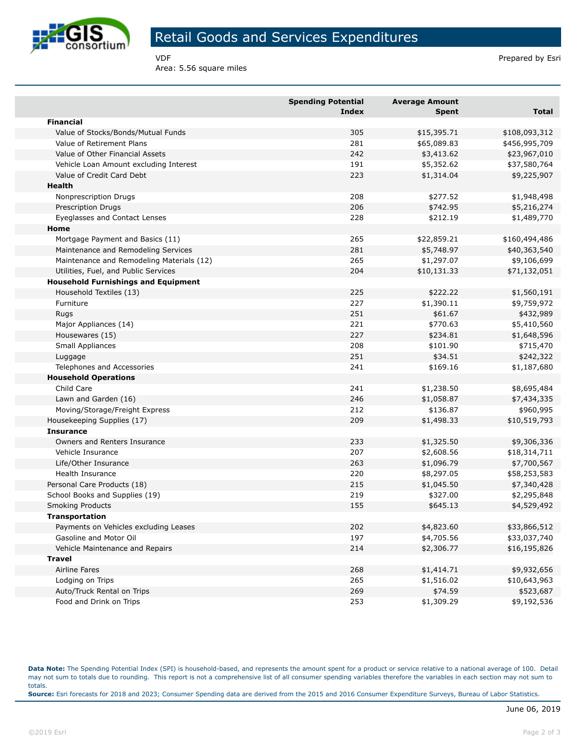

## Retail Goods and Services Expenditures

Area: 5.56 square miles

VDF **Prepared by Esri** 

|                                            | <b>Spending Potential</b><br><b>Index</b> | <b>Average Amount</b><br><b>Spent</b> | Total         |
|--------------------------------------------|-------------------------------------------|---------------------------------------|---------------|
| <b>Financial</b>                           |                                           |                                       |               |
| Value of Stocks/Bonds/Mutual Funds         | 305                                       | \$15,395.71                           | \$108,093,312 |
| Value of Retirement Plans                  | 281                                       | \$65,089.83                           | \$456,995,709 |
| Value of Other Financial Assets            | 242                                       | \$3,413.62                            | \$23,967,010  |
| Vehicle Loan Amount excluding Interest     | 191                                       | \$5,352.62                            | \$37,580,764  |
| Value of Credit Card Debt                  | 223                                       | \$1,314.04                            | \$9,225,907   |
| <b>Health</b>                              |                                           |                                       |               |
| Nonprescription Drugs                      | 208                                       | \$277.52                              | \$1,948,498   |
| <b>Prescription Drugs</b>                  | 206                                       | \$742.95                              | \$5,216,274   |
| Eyeglasses and Contact Lenses              | 228                                       | \$212.19                              | \$1,489,770   |
| Home                                       |                                           |                                       |               |
| Mortgage Payment and Basics (11)           | 265                                       | \$22,859.21                           | \$160,494,486 |
| Maintenance and Remodeling Services        | 281                                       | \$5,748.97                            | \$40,363,540  |
| Maintenance and Remodeling Materials (12)  | 265                                       | \$1,297.07                            | \$9,106,699   |
| Utilities, Fuel, and Public Services       | 204                                       | \$10,131.33                           | \$71,132,051  |
| <b>Household Furnishings and Equipment</b> |                                           |                                       |               |
| Household Textiles (13)                    | 225                                       | \$222.22                              | \$1,560,191   |
| Furniture                                  | 227                                       | \$1,390.11                            | \$9,759,972   |
| Rugs                                       | 251                                       | \$61.67                               | \$432,989     |
| Major Appliances (14)                      | 221                                       | \$770.63                              | \$5,410,560   |
| Housewares (15)                            | 227                                       | \$234.81                              | \$1,648,596   |
| <b>Small Appliances</b>                    | 208                                       | \$101.90                              | \$715,470     |
| Luggage                                    | 251                                       | \$34.51                               | \$242,322     |
| Telephones and Accessories                 | 241                                       | \$169.16                              | \$1,187,680   |
| <b>Household Operations</b>                |                                           |                                       |               |
| Child Care                                 | 241                                       | \$1,238.50                            | \$8,695,484   |
| Lawn and Garden (16)                       | 246                                       | \$1,058.87                            | \$7,434,335   |
| Moving/Storage/Freight Express             | 212                                       | \$136.87                              | \$960,995     |
| Housekeeping Supplies (17)                 | 209                                       | \$1,498.33                            | \$10,519,793  |
| <b>Insurance</b>                           |                                           |                                       |               |
| Owners and Renters Insurance               | 233                                       | \$1,325.50                            | \$9,306,336   |
| Vehicle Insurance                          | 207                                       | \$2,608.56                            | \$18,314,711  |
| Life/Other Insurance                       | 263                                       | \$1,096.79                            | \$7,700,567   |
| <b>Health Insurance</b>                    | 220                                       | \$8,297.05                            | \$58,253,583  |
| Personal Care Products (18)                | 215                                       | \$1,045.50                            | \$7,340,428   |
| School Books and Supplies (19)             | 219                                       | \$327.00                              | \$2,295,848   |
| <b>Smoking Products</b>                    | 155                                       | \$645.13                              | \$4,529,492   |
| <b>Transportation</b>                      |                                           |                                       |               |
| Payments on Vehicles excluding Leases      | 202                                       | \$4,823.60                            | \$33,866,512  |
| Gasoline and Motor Oil                     | 197                                       | \$4,705.56                            | \$33,037,740  |
| Vehicle Maintenance and Repairs            | 214                                       | \$2,306.77                            | \$16,195,826  |
| Travel                                     |                                           |                                       |               |
| Airline Fares                              | 268                                       | \$1,414.71                            | \$9,932,656   |
| Lodging on Trips                           | 265                                       | \$1,516.02                            | \$10,643,963  |
| Auto/Truck Rental on Trips                 | 269                                       | \$74.59                               | \$523,687     |
| Food and Drink on Trips                    | 253                                       | \$1,309.29                            | \$9,192,536   |

**Data Note:** The Spending Potential Index (SPI) is household-based, and represents the amount spent for a product or service relative to a national average of 100. Detail may not sum to totals due to rounding. This report is not a comprehensive list of all consumer spending variables therefore the variables in each section may not sum to totals. **Source:** Esri forecasts for 2018 and 2023; Consumer Spending data are derived from the 2015 and 2016 Consumer Expenditure Surveys, Bureau of Labor Statistics.